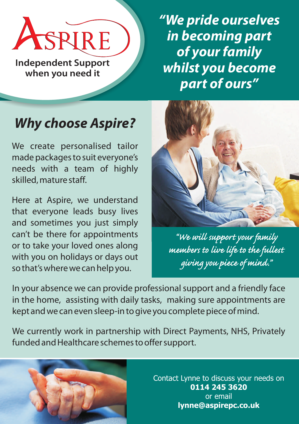ASPIRE

**Independent Support when you need it**

*"We pride ourselves in becoming part of your family whilst you become part of ours"*

## *Why choose Aspire?*

We create personalised tailor made packages to suit everyone's needs with a team of highly skilled, mature staff.

Here at Aspire, we understand that everyone leads busy lives and sometimes you just simply can't be there for appointments or to take your loved ones along with you on holidays or days out so that's where we can help you.



*"We will support your family members to live life to the fullest giving you piece of mind."*

In your absence we can provide professional support and a friendly face in the home, assisting with daily tasks, making sure appointments are kept and we can even sleep-in to give you complete piece of mind.

We currently work in partnership with Direct Payments, NHS, Privately funded and Healthcare schemes to offer support.



Contact Lynne to discuss your needs on **0114 245 3620**  or email **lynne@aspirepc.co.uk**